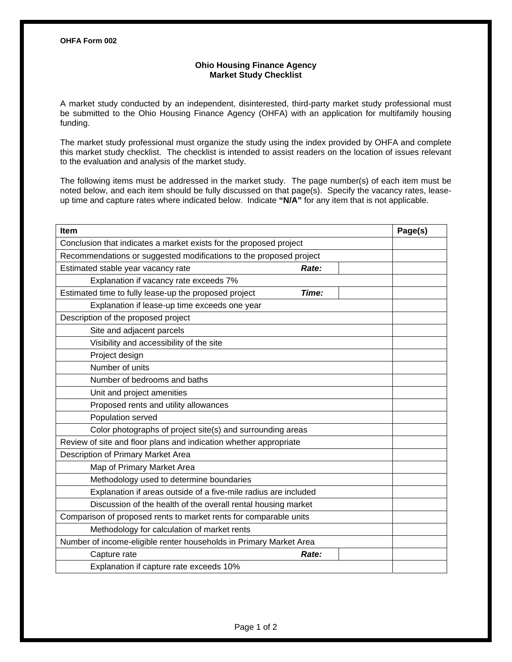## **Ohio Housing Finance Agency Market Study Checklist**

A market study conducted by an independent, disinterested, third-party market study professional must be submitted to the Ohio Housing Finance Agency (OHFA) with an application for multifamily housing funding.

The market study professional must organize the study using the index provided by OHFA and complete this market study checklist. The checklist is intended to assist readers on the location of issues relevant to the evaluation and analysis of the market study.

The following items must be addressed in the market study. The page number(s) of each item must be noted below, and each item should be fully discussed on that page(s). Specify the vacancy rates, leaseup time and capture rates where indicated below. Indicate **"N/A"** for any item that is not applicable.

| Item                                                               |       | Page(s) |
|--------------------------------------------------------------------|-------|---------|
| Conclusion that indicates a market exists for the proposed project |       |         |
| Recommendations or suggested modifications to the proposed project |       |         |
| Estimated stable year vacancy rate                                 | Rate: |         |
| Explanation if vacancy rate exceeds 7%                             |       |         |
| Estimated time to fully lease-up the proposed project              | Time: |         |
| Explanation if lease-up time exceeds one year                      |       |         |
| Description of the proposed project                                |       |         |
| Site and adjacent parcels                                          |       |         |
| Visibility and accessibility of the site                           |       |         |
| Project design                                                     |       |         |
| Number of units                                                    |       |         |
| Number of bedrooms and baths                                       |       |         |
| Unit and project amenities                                         |       |         |
| Proposed rents and utility allowances                              |       |         |
| Population served                                                  |       |         |
| Color photographs of project site(s) and surrounding areas         |       |         |
| Review of site and floor plans and indication whether appropriate  |       |         |
| Description of Primary Market Area                                 |       |         |
| Map of Primary Market Area                                         |       |         |
| Methodology used to determine boundaries                           |       |         |
| Explanation if areas outside of a five-mile radius are included    |       |         |
| Discussion of the health of the overall rental housing market      |       |         |
| Comparison of proposed rents to market rents for comparable units  |       |         |
| Methodology for calculation of market rents                        |       |         |
| Number of income-eligible renter households in Primary Market Area |       |         |
| Capture rate                                                       | Rate: |         |
| Explanation if capture rate exceeds 10%                            |       |         |